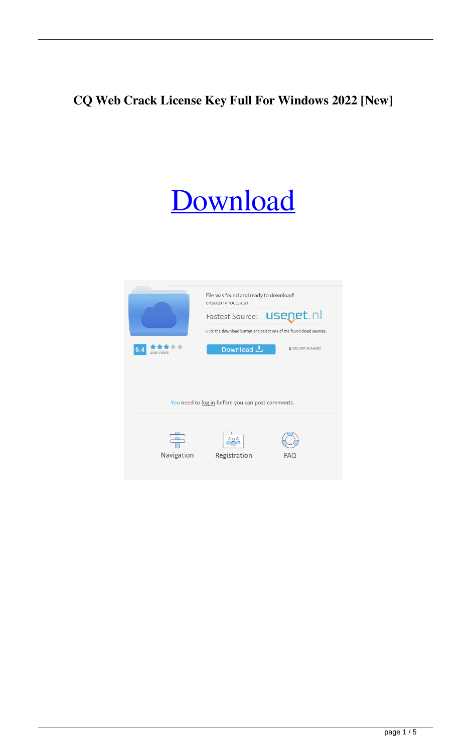# **CQ Web Crack License Key Full For Windows 2022 [New]**

# **[Download](http://evacdir.com/aren/baytown/increasing/limping.emperor/ZG93bmxvYWR8UjRuTXpJMGZId3hOalUwTlRJeU1URXdmSHd5TlRrd2ZId29UU2tnVjI5eVpIQnlaWE56SUZ0WVRVeFNVRU1nVmpJZ1VFUkdYUQ.posibilities.probes.Q1Egd2ViQ1E)**

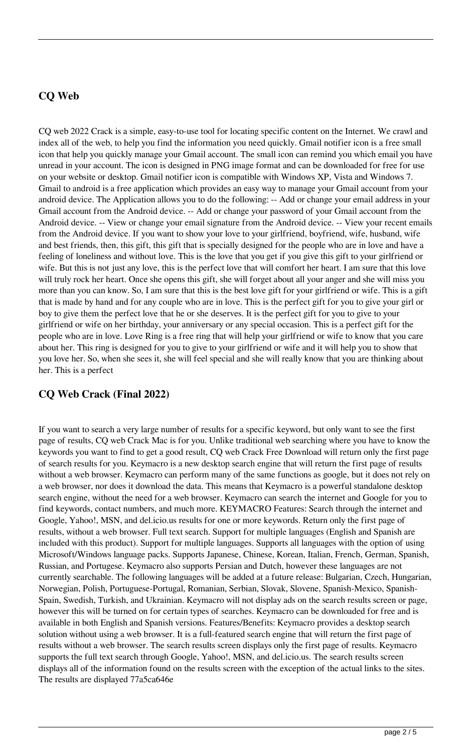#### **CQ Web**

CQ web 2022 Crack is a simple, easy-to-use tool for locating specific content on the Internet. We crawl and index all of the web, to help you find the information you need quickly. Gmail notifier icon is a free small icon that help you quickly manage your Gmail account. The small icon can remind you which email you have unread in your account. The icon is designed in PNG image format and can be downloaded for free for use on your website or desktop. Gmail notifier icon is compatible with Windows XP, Vista and Windows 7. Gmail to android is a free application which provides an easy way to manage your Gmail account from your android device. The Application allows you to do the following: -- Add or change your email address in your Gmail account from the Android device. -- Add or change your password of your Gmail account from the Android device. -- View or change your email signature from the Android device. -- View your recent emails from the Android device. If you want to show your love to your girlfriend, boyfriend, wife, husband, wife and best friends, then, this gift, this gift that is specially designed for the people who are in love and have a feeling of loneliness and without love. This is the love that you get if you give this gift to your girlfriend or wife. But this is not just any love, this is the perfect love that will comfort her heart. I am sure that this love will truly rock her heart. Once she opens this gift, she will forget about all your anger and she will miss you more than you can know. So, I am sure that this is the best love gift for your girlfriend or wife. This is a gift that is made by hand and for any couple who are in love. This is the perfect gift for you to give your girl or boy to give them the perfect love that he or she deserves. It is the perfect gift for you to give to your girlfriend or wife on her birthday, your anniversary or any special occasion. This is a perfect gift for the people who are in love. Love Ring is a free ring that will help your girlfriend or wife to know that you care about her. This ring is designed for you to give to your girlfriend or wife and it will help you to show that you love her. So, when she sees it, she will feel special and she will really know that you are thinking about her. This is a perfect

#### **CQ Web Crack (Final 2022)**

If you want to search a very large number of results for a specific keyword, but only want to see the first page of results, CQ web Crack Mac is for you. Unlike traditional web searching where you have to know the keywords you want to find to get a good result, CQ web Crack Free Download will return only the first page of search results for you. Keymacro is a new desktop search engine that will return the first page of results without a web browser. Keymacro can perform many of the same functions as google, but it does not rely on a web browser, nor does it download the data. This means that Keymacro is a powerful standalone desktop search engine, without the need for a web browser. Keymacro can search the internet and Google for you to find keywords, contact numbers, and much more. KEYMACRO Features: Search through the internet and Google, Yahoo!, MSN, and del.icio.us results for one or more keywords. Return only the first page of results, without a web browser. Full text search. Support for multiple languages (English and Spanish are included with this product). Support for multiple languages. Supports all languages with the option of using Microsoft/Windows language packs. Supports Japanese, Chinese, Korean, Italian, French, German, Spanish, Russian, and Portugese. Keymacro also supports Persian and Dutch, however these languages are not currently searchable. The following languages will be added at a future release: Bulgarian, Czech, Hungarian, Norwegian, Polish, Portuguese-Portugal, Romanian, Serbian, Slovak, Slovene, Spanish-Mexico, Spanish-Spain, Swedish, Turkish, and Ukrainian. Keymacro will not display ads on the search results screen or page, however this will be turned on for certain types of searches. Keymacro can be downloaded for free and is available in both English and Spanish versions. Features/Benefits: Keymacro provides a desktop search solution without using a web browser. It is a full-featured search engine that will return the first page of results without a web browser. The search results screen displays only the first page of results. Keymacro supports the full text search through Google, Yahoo!, MSN, and del.icio.us. The search results screen displays all of the information found on the results screen with the exception of the actual links to the sites. The results are displayed 77a5ca646e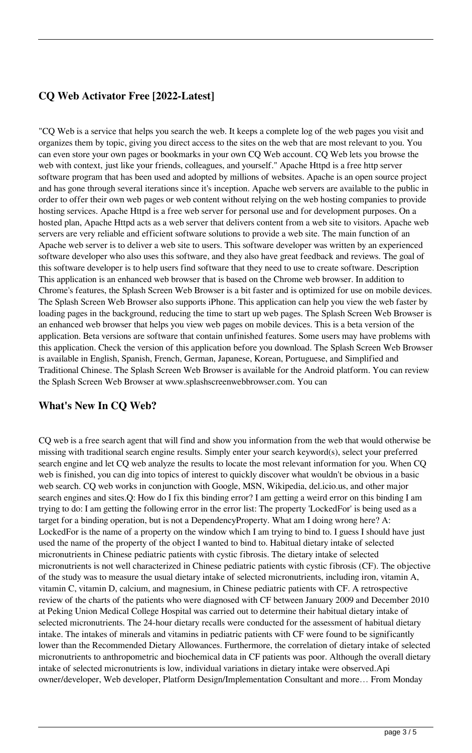### **CQ Web Activator Free [2022-Latest]**

"CQ Web is a service that helps you search the web. It keeps a complete log of the web pages you visit and organizes them by topic, giving you direct access to the sites on the web that are most relevant to you. You can even store your own pages or bookmarks in your own CQ Web account. CQ Web lets you browse the web with context, just like your friends, colleagues, and yourself." Apache Httpd is a free http server software program that has been used and adopted by millions of websites. Apache is an open source project and has gone through several iterations since it's inception. Apache web servers are available to the public in order to offer their own web pages or web content without relying on the web hosting companies to provide hosting services. Apache Httpd is a free web server for personal use and for development purposes. On a hosted plan, Apache Httpd acts as a web server that delivers content from a web site to visitors. Apache web servers are very reliable and efficient software solutions to provide a web site. The main function of an Apache web server is to deliver a web site to users. This software developer was written by an experienced software developer who also uses this software, and they also have great feedback and reviews. The goal of this software developer is to help users find software that they need to use to create software. Description This application is an enhanced web browser that is based on the Chrome web browser. In addition to Chrome's features, the Splash Screen Web Browser is a bit faster and is optimized for use on mobile devices. The Splash Screen Web Browser also supports iPhone. This application can help you view the web faster by loading pages in the background, reducing the time to start up web pages. The Splash Screen Web Browser is an enhanced web browser that helps you view web pages on mobile devices. This is a beta version of the application. Beta versions are software that contain unfinished features. Some users may have problems with this application. Check the version of this application before you download. The Splash Screen Web Browser is available in English, Spanish, French, German, Japanese, Korean, Portuguese, and Simplified and Traditional Chinese. The Splash Screen Web Browser is available for the Android platform. You can review the Splash Screen Web Browser at www.splashscreenwebbrowser.com. You can

#### **What's New In CQ Web?**

CQ web is a free search agent that will find and show you information from the web that would otherwise be missing with traditional search engine results. Simply enter your search keyword(s), select your preferred search engine and let CQ web analyze the results to locate the most relevant information for you. When CQ web is finished, you can dig into topics of interest to quickly discover what wouldn't be obvious in a basic web search. CQ web works in conjunction with Google, MSN, Wikipedia, del.icio.us, and other major search engines and sites.Q: How do I fix this binding error? I am getting a weird error on this binding I am trying to do: I am getting the following error in the error list: The property 'LockedFor' is being used as a target for a binding operation, but is not a DependencyProperty. What am I doing wrong here? A: LockedFor is the name of a property on the window which I am trying to bind to. I guess I should have just used the name of the property of the object I wanted to bind to. Habitual dietary intake of selected micronutrients in Chinese pediatric patients with cystic fibrosis. The dietary intake of selected micronutrients is not well characterized in Chinese pediatric patients with cystic fibrosis (CF). The objective of the study was to measure the usual dietary intake of selected micronutrients, including iron, vitamin A, vitamin C, vitamin D, calcium, and magnesium, in Chinese pediatric patients with CF. A retrospective review of the charts of the patients who were diagnosed with CF between January 2009 and December 2010 at Peking Union Medical College Hospital was carried out to determine their habitual dietary intake of selected micronutrients. The 24-hour dietary recalls were conducted for the assessment of habitual dietary intake. The intakes of minerals and vitamins in pediatric patients with CF were found to be significantly lower than the Recommended Dietary Allowances. Furthermore, the correlation of dietary intake of selected micronutrients to anthropometric and biochemical data in CF patients was poor. Although the overall dietary intake of selected micronutrients is low, individual variations in dietary intake were observed.Api owner/developer, Web developer, Platform Design/Implementation Consultant and more… From Monday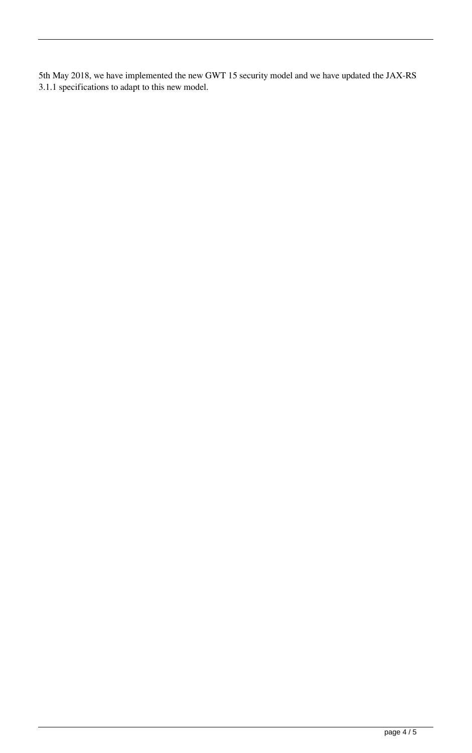5th May 2018, we have implemented the new GWT 15 security model and we have updated the JAX-RS 3.1.1 specifications to adapt to this new model.